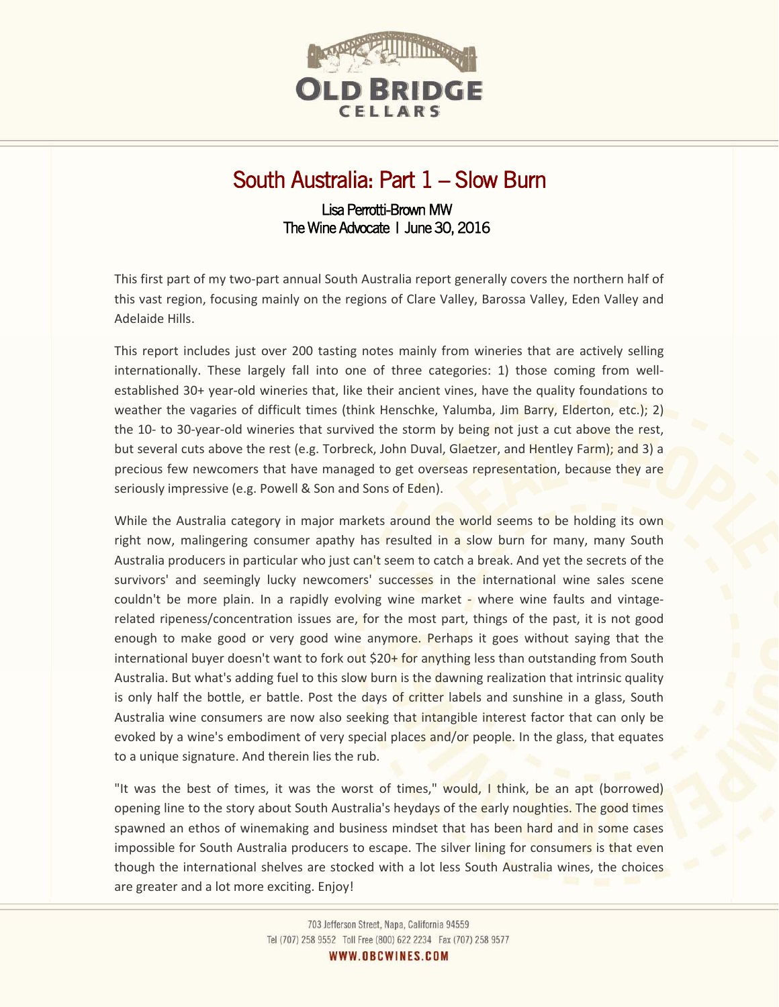

# South Australia: Part 1 – Slow Burn

# Lisa Perrotti-Brown MW The Wine Advocate | June 30, 2016

This first part of my two-part annual South Australia report generally covers the northern half of this vast region, focusing mainly on the regions of Clare Valley, Barossa Valley, Eden Valley and Adelaide Hills.

This report includes just over 200 tasting notes mainly from wineries that are actively selling internationally. These largely fall into one of three categories: 1) those coming from wellestablished 30+ year-old wineries that, like their ancient vines, have the quality foundations to weather the vagaries of difficult times (think Henschke, Yalumba, Jim Barry, Elderton, etc.); 2) the 10- to 30-year-old wineries that survived the storm by being not just a cut above the rest, but several cuts above the rest (e.g. Torbreck, John Duval, Glaetzer, and Hentley Farm); and 3) a precious few newcomers that have managed to get overseas representation, because they are seriously impressive (e.g. Powell & Son and Sons of Eden).

While the Australia category in major markets around the world seems to be holding its own right now, malingering consumer apathy has resulted in a slow burn for many, many South Australia producers in particular who just can't seem to catch a break. And yet the secrets of the survivors' and seemingly lucky newcomers' successes in the international wine sales scene couldn't be more plain. In a rapidly evolving wine market - where wine faults and vintagerelated ripeness/concentration issues are, for the most part, things of the past, it is not good enough to make good or very good wine anymore. Perhaps it goes without saying that the international buyer doesn't want to fork out  $$20+$  for anything less than outstanding from South Australia. But what's adding fuel to this slow burn is the dawning realization that intrinsic quality is only half the bottle, er battle. Post the days of critter labels and sunshine in a glass, South Australia wine consumers are now also seeking that intangible interest factor that can only be evoked by a wine's embodiment of very special places and/or people. In the glass, that equates to a unique signature. And therein lies the rub.

"It was the best of times, it was the worst of times," would, I think, be an apt (borrowed) opening line to the story about South Australia's heydays of the early noughties. The good times spawned an ethos of winemaking and business mindset that has been hard and in some cases impossible for South Australia producers to escape. The silver lining for consumers is that even though the international shelves are stocked with a lot less South Australia wines, the choices are greater and a lot more exciting. Enjoy!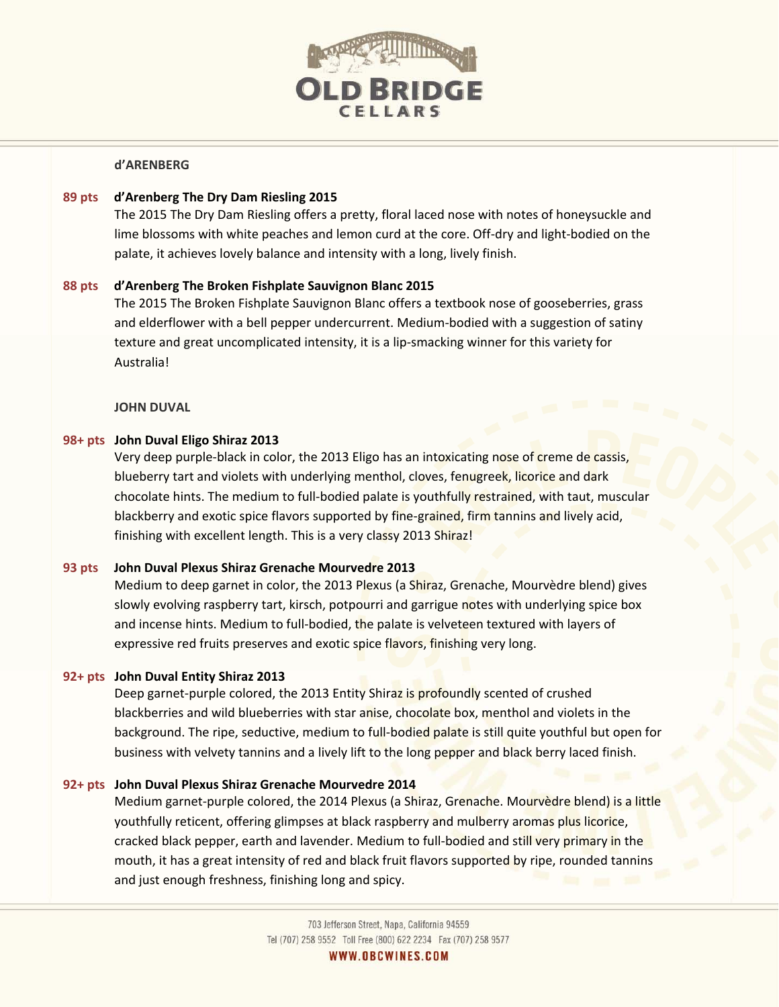

### **d'ARENBERG**

# **89 pts d'Arenberg The Dry Dam Riesling 2015**

The 2015 The Dry Dam Riesling offers a pretty, floral laced nose with notes of honeysuckle and lime blossoms with white peaches and lemon curd at the core. Off-dry and light-bodied on the palate, it achieves lovely balance and intensity with a long, lively finish.

# **88 pts d'Arenberg The Broken Fishplate Sauvignon Blanc 2015**

The 2015 The Broken Fishplate Sauvignon Blanc offers a textbook nose of gooseberries, grass and elderflower with a bell pepper undercurrent. Medium-bodied with a suggestion of satiny texture and great uncomplicated intensity, it is a lip-smacking winner for this variety for Australia!

**JOHN DUVAL** 

# **98+ pts John Duval Eligo Shiraz 2013**

Very deep purple-black in color, the 2013 Eligo has an intoxicating nose of creme de cassis, blueberry tart and violets with underlying menthol, cloves, fenugreek, licorice and dark chocolate hints. The medium to full-bodied palate is youthfully restrained, with taut, muscular blackberry and exotic spice flavors supported by fine-grained, firm tannins and lively acid, finishing with excellent length. This is a very classy 2013 Shiraz!

# **93 pts John Duval Plexus Shiraz Grenache Mourvedre 2013**

Medium to deep garnet in color, the 2013 Plexus (a Shiraz, Grenache, Mourvèdre blend) gives slowly evolving raspberry tart, kirsch, potpourri and garrigue notes with underlying spice box and incense hints. Medium to full-bodied, the palate is velveteen textured with layers of expressive red fruits preserves and exotic spice flavors, finishing very long.

### **92+ pts John Duval Entity Shiraz 2013**

Deep garnet-purple colored, the 2013 Entity Shiraz is profoundly scented of crushed blackberries and wild blueberries with star anise, chocolate box, menthol and violets in the background. The ripe, seductive, medium to full-bodied palate is still quite youthful but open for business with velvety tannins and a lively lift to the long pepper and black berry laced finish.

### **92+ pts John Duval Plexus Shiraz Grenache Mourvedre 2014**

Medium garnet-purple colored, the 2014 Plexus (a Shiraz, Grenache. Mourvèdre blend) is a little youthfully reticent, offering glimpses at black raspberry and mulberry aromas plus licorice, cracked black pepper, earth and lavender. Medium to full-bodied and still very primary in the mouth, it has a great intensity of red and black fruit flavors supported by ripe, rounded tannins and just enough freshness, finishing long and spicy.

WWW.OBCWINES.COM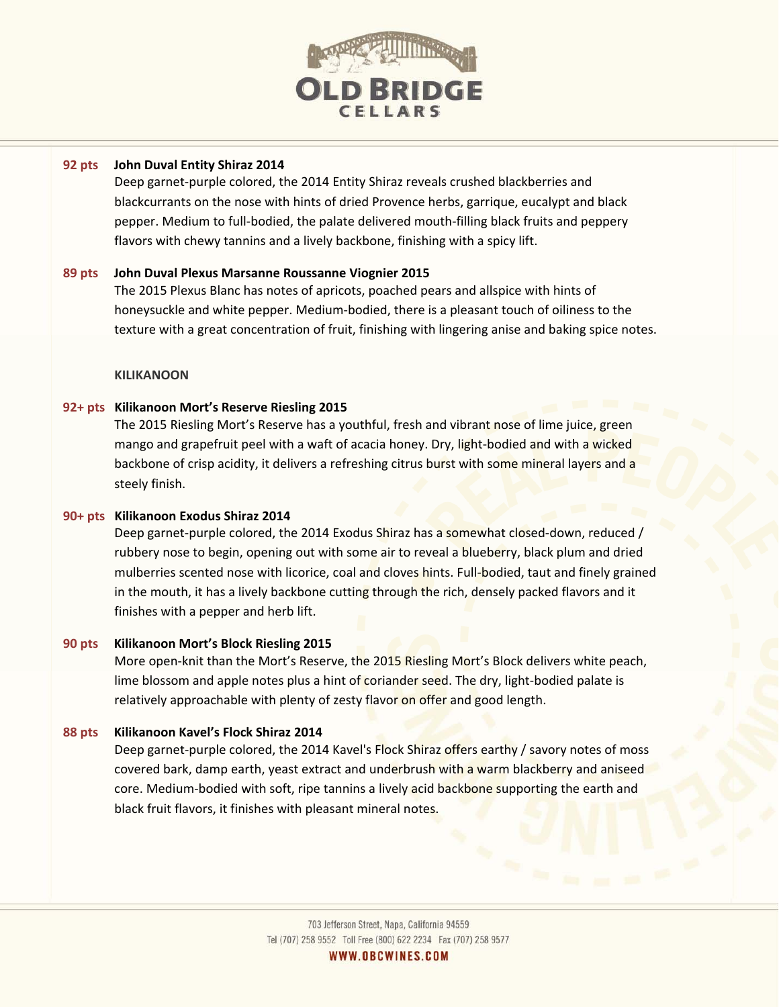

# **92 pts John Duval Entity Shiraz 2014**

Deep garnet-purple colored, the 2014 Entity Shiraz reveals crushed blackberries and blackcurrants on the nose with hints of dried Provence herbs, garrique, eucalypt and black pepper. Medium to full-bodied, the palate delivered mouth-filling black fruits and peppery flavors with chewy tannins and a lively backbone, finishing with a spicy lift.

# **89 pts John Duval Plexus Marsanne Roussanne Viognier 2015**

The 2015 Plexus Blanc has notes of apricots, poached pears and allspice with hints of honeysuckle and white pepper. Medium-bodied, there is a pleasant touch of oiliness to the texture with a great concentration of fruit, finishing with lingering anise and baking spice notes.

# **KILIKANOON**

# **92+ pts Kilikanoon Mort's Reserve Riesling 2015**

The 2015 Riesling Mort's Reserve has a youthful, fresh and vibrant nose of lime juice, green mango and grapefruit peel with a waft of acacia honey. Dry, light-bodied and with a wicked backbone of crisp acidity, it delivers a refreshing citrus burst with some mineral layers and a steely finish.

### **90+ pts Kilikanoon Exodus Shiraz 2014**

Deep garnet-purple colored, the 2014 Exodus Shiraz has a somewhat closed-down, reduced / rubbery nose to begin, opening out with some air to reveal a blueberry, black plum and dried mulberries scented nose with licorice, coal and cloves hints. Full-bodied, taut and finely grained in the mouth, it has a lively backbone cutting through the rich, densely packed flavors and it finishes with a pepper and herb lift.

# **90 pts Kilikanoon Mort's Block Riesling 2015**

More open-knit than the Mort's Reserve, the 2015 Riesling Mort's Block delivers white peach, lime blossom and apple notes plus a hint of coriander seed. The dry, light-bodied palate is relatively approachable with plenty of zesty flavor on offer and good length.

### **88 pts Kilikanoon Kavel's Flock Shiraz 2014**

Deep garnet-purple colored, the 2014 Kavel's Flock Shiraz offers earthy / savory notes of moss covered bark, damp earth, yeast extract and underbrush with a warm blackberry and aniseed core. Medium-bodied with soft, ripe tannins a lively acid backbone supporting the earth and black fruit flavors, it finishes with pleasant mineral notes.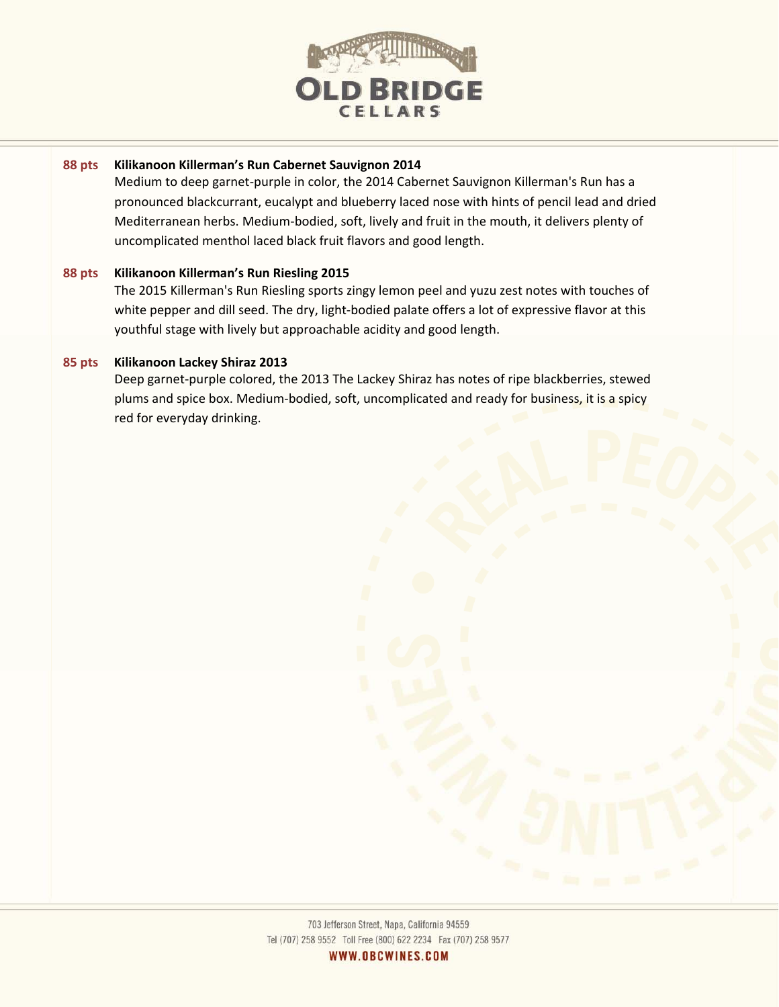

# **88 pts Kilikanoon Killerman's Run Cabernet Sauvignon 2014**

Medium to deep garnet-purple in color, the 2014 Cabernet Sauvignon Killerman's Run has a pronounced blackcurrant, eucalypt and blueberry laced nose with hints of pencil lead and dried Mediterranean herbs. Medium-bodied, soft, lively and fruit in the mouth, it delivers plenty of uncomplicated menthol laced black fruit flavors and good length.

# **88 pts Kilikanoon Killerman's Run Riesling 2015**

The 2015 Killerman's Run Riesling sports zingy lemon peel and yuzu zest notes with touches of white pepper and dill seed. The dry, light-bodied palate offers a lot of expressive flavor at this youthful stage with lively but approachable acidity and good length.

# **85 pts Kilikanoon Lackey Shiraz 2013**

Deep garnet-purple colored, the 2013 The Lackey Shiraz has notes of ripe blackberries, stewed plums and spice box. Medium-bodied, soft, uncomplicated and ready for business, it is a spicy red for everyday drinking.



WWW.OBCWINES.COM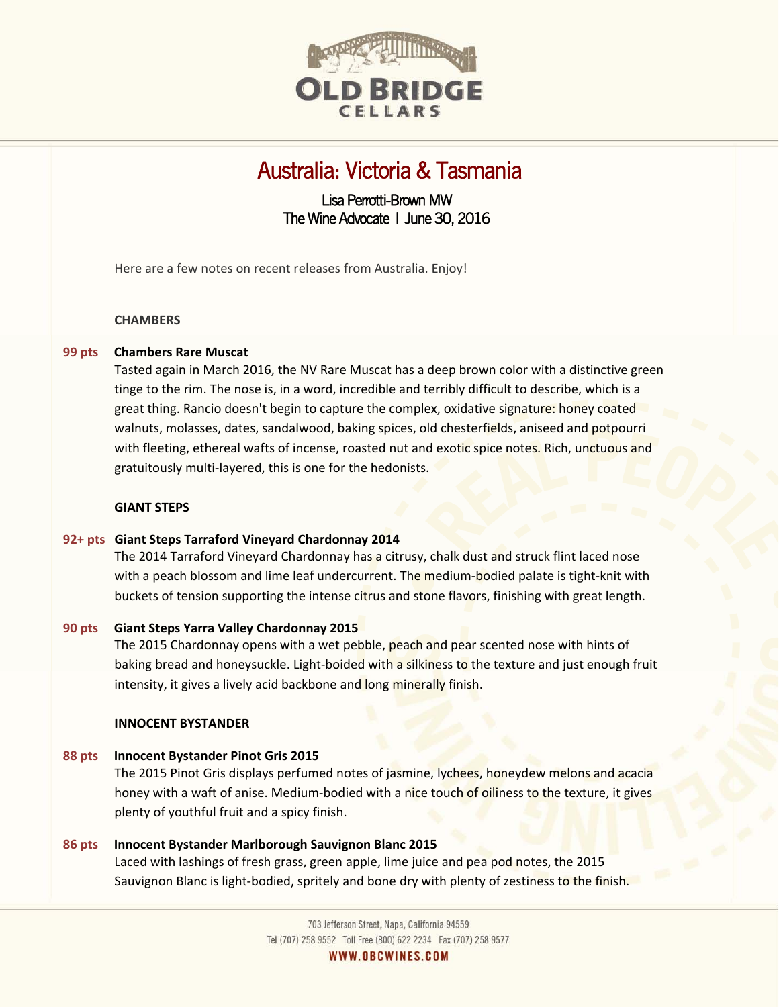

# Australia: Victoria & Tasmania

# Lisa Perrotti-Brown MW The Wine Advocate | June 30, 2016

Here are a few notes on recent releases from Australia. Enjoy!

### **CHAMBERS**

# **99 pts Chambers Rare Muscat**

Tasted again in March 2016, the NV Rare Muscat has a deep brown color with a distinctive green tinge to the rim. The nose is, in a word, incredible and terribly difficult to describe, which is a great thing. Rancio doesn't begin to capture the complex, oxidative signature: honey coated walnuts, molasses, dates, sandalwood, baking spices, old chesterfields, aniseed and potpourri with fleeting, ethereal wafts of incense, roasted nut and exotic spice notes. Rich, unctuous and gratuitously multi-layered, this is one for the hedonists.

### **GIANT STEPS**

### **92+ pts Giant Steps Tarraford Vineyard Chardonnay 2014**

The 2014 Tarraford Vineyard Chardonnay has a citrusy, chalk dust and struck flint laced nose with a peach blossom and lime leaf undercurrent. The medium-bodied palate is tight-knit with buckets of tension supporting the intense citrus and stone flavors, finishing with great length.

### **90 pts Giant Steps Yarra Valley Chardonnay 2015**

The 2015 Chardonnay opens with a wet pebble, peach and pear scented nose with hints of baking bread and honeysuckle. Light-boided with a silkiness to the texture and just enough fruit intensity, it gives a lively acid backbone and long minerally finish.

#### **INNOCENT BYSTANDER**

### **88 pts Innocent Bystander Pinot Gris 2015**

The 2015 Pinot Gris displays perfumed notes of jasmine, lychees, honeydew melons and acacia honey with a waft of anise. Medium-bodied with a nice touch of oiliness to the texture, it gives plenty of youthful fruit and a spicy finish.

# **86 pts Innocent Bystander Marlborough Sauvignon Blanc 2015**  Laced with lashings of fresh grass, green apple, lime juice and pea pod notes, the 2015 Sauvignon Blanc is light-bodied, spritely and bone dry with plenty of zestiness to the finish.

703 Jefferson Street, Napa, California 94559 Tel (707) 258 9552 Toll Free (800) 622 2234 Fax (707) 258 9577

WWW.OBCWINES.COM